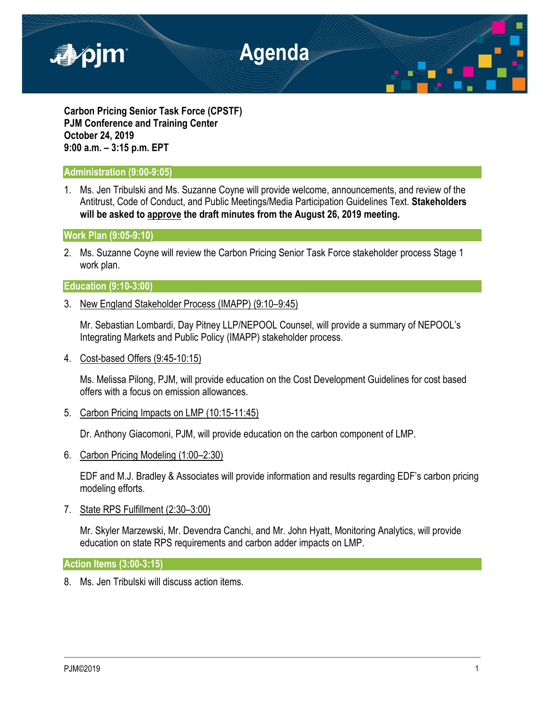

**Carbon Pricing Senior Task Force (CPSTF) PJM Conference and Training Center October 24, 2019 9:00 a.m. – 3:15 p.m. EPT**

# **Administration (9:00-9:05)**

1. Ms. Jen Tribulski and Ms. Suzanne Coyne will provide welcome, announcements, and review of the Antitrust, Code of Conduct, and Public Meetings/Media Participation Guidelines Text. **Stakeholders will be asked to approve the draft minutes from the August 26, 2019 meeting.**

# **Work Plan (9:05-9:10)**

2. Ms. Suzanne Coyne will review the Carbon Pricing Senior Task Force stakeholder process Stage 1 work plan.

# **Education (9:10-3:00)**

3. New England Stakeholder Process (IMAPP) (9:10–9:45)

Mr. Sebastian Lombardi, Day Pitney LLP/NEPOOL Counsel, will provide a summary of NEPOOL's Integrating Markets and Public Policy (IMAPP) stakeholder process.

4. Cost-based Offers (9:45-10:15)

Ms. Melissa Pilong, PJM, will provide education on the Cost Development Guidelines for cost based offers with a focus on emission allowances.

5. Carbon Pricing Impacts on LMP (10:15-11:45)

Dr. Anthony Giacomoni, PJM, will provide education on the carbon component of LMP.

6. Carbon Pricing Modeling (1:00–2:30)

EDF and M.J. Bradley & Associates will provide information and results regarding EDF's carbon pricing modeling efforts.

7. State RPS Fulfillment (2:30–3:00)

Mr. Skyler Marzewski, Mr. Devendra Canchi, and Mr. John Hyatt, Monitoring Analytics, will provide education on state RPS requirements and carbon adder impacts on LMP.

**Action Items (3:00-3:15)**

8. Ms. Jen Tribulski will discuss action items.